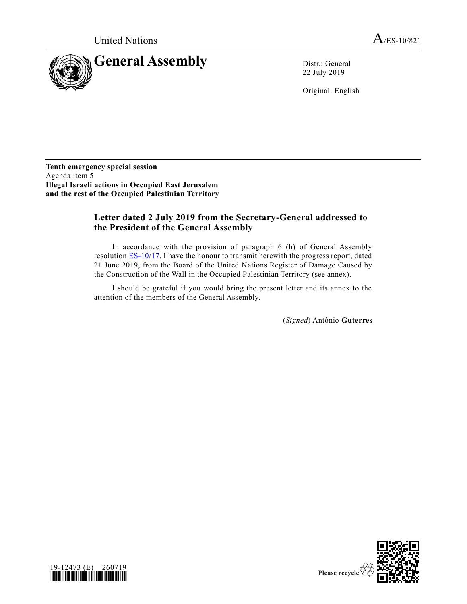

22 July 2019

Original: English

**Tenth emergency special session** Agenda item 5 **Illegal Israeli actions in Occupied East Jerusalem and the rest of the Occupied Palestinian Territory** 

### **Letter dated 2 July 2019 from the Secretary-General addressed to the President of the General Assembly**

In accordance with the provision of paragraph 6 (h) of General Assembly resolution [ES-10/17,](https://undocs.org/en/A/RES/ES-10/17) I have the honour to transmit herewith the progress report, dated 21 June 2019, from the Board of the United Nations Register of Damage Caused by the Construction of the Wall in the Occupied Palestinian Territory (see annex).

I should be grateful if you would bring the present letter and its annex to the attention of the members of the General Assembly.

(*Signed*) António **Guterres**



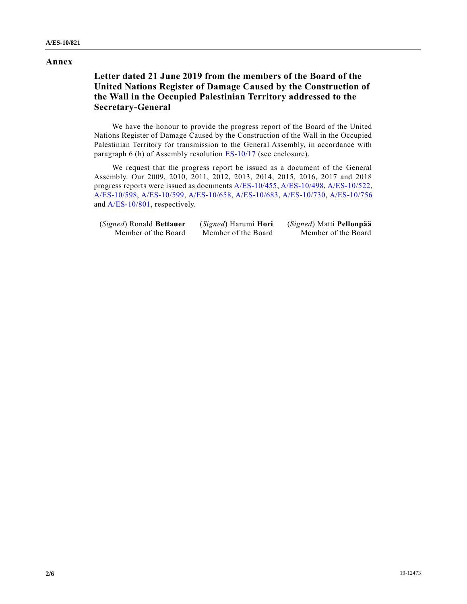#### **Annex**

# **Letter dated 21 June 2019 from the members of the Board of the United Nations Register of Damage Caused by the Construction of the Wall in the Occupied Palestinian Territory addressed to the Secretary-General**

We have the honour to provide the progress report of the Board of the United Nations Register of Damage Caused by the Construction of the Wall in the Occupied Palestinian Territory for transmission to the General Assembly, in accordance with paragraph 6 (h) of Assembly resolution [ES-10/17](https://undocs.org/en/A/RES/ES-10/17) (see enclosure).

We request that the progress report be issued as a document of the General Assembly. Our 2009, 2010, 2011, 2012, 2013, 2014, 2015, 2016, 2017 and 2018 progress reports were issued as documents [A/ES-10/455,](https://undocs.org/en/A/ES-10/455) [A/ES-10/498,](https://undocs.org/en/A/ES-10/498) [A/ES-10/522,](https://undocs.org/en/A/ES-10/522) [A/ES-10/598,](https://undocs.org/en/A/ES-10/598) [A/ES-10/599,](https://undocs.org/en/A/ES-10/599) [A/ES-10/658,](https://undocs.org/en/A/ES-10/658) [A/ES-10/683,](https://undocs.org/en/A/ES-10/683) [A/ES-10/730,](https://undocs.org/en/A/ES-10/730) [A/ES-10/756](https://undocs.org/en/A/ES-10/756) and [A/ES-10/801,](https://undocs.org/en/A/ES-10/801) respectively.

| (Signed) Ronald Bettauer | ( <i>Signed</i> ) Harumi <b>Hori</b> | (Signed) Matti Pellonpää |
|--------------------------|--------------------------------------|--------------------------|
| Member of the Board      | Member of the Board                  | Member of the Board      |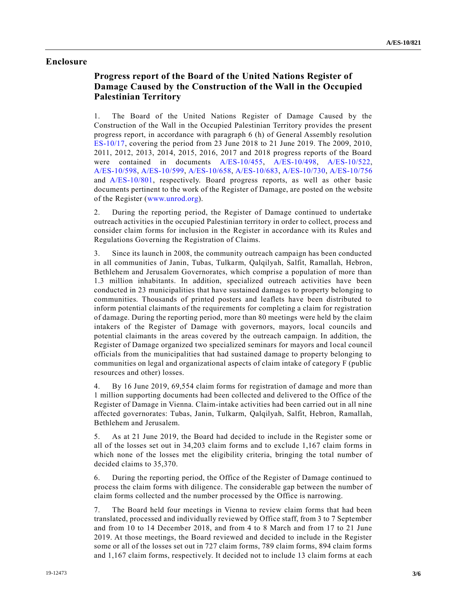#### **Enclosure**

# **Progress report of the Board of the United Nations Register of Damage Caused by the Construction of the Wall in the Occupied Palestinian Territory**

1. The Board of the United Nations Register of Damage Caused by the Construction of the Wall in the Occupied Palestinian Territory provides the present progress report, in accordance with paragraph 6 (h) of General Assembly resolution [ES-10/17,](https://undocs.org/en/A/RES/ES-10/17) covering the period from 23 June 2018 to 21 June 2019. The 2009, 2010, 2011, 2012, 2013, 2014, 2015, 2016, 2017 and 2018 progress reports of the Board were contained in documents [A/ES-10/455,](https://undocs.org/en/A/ES-10/455) [A/ES-10/498,](https://undocs.org/en/A/ES-10/498) [A/ES-10/522,](https://undocs.org/en/A/ES-10/522) [A/ES-10/598,](https://undocs.org/en/A/ES-10/598) [A/ES-10/599,](https://undocs.org/en/A/ES-10/599) [A/ES-10/658,](https://undocs.org/en/A/ES-10/658) [A/ES-10/683,](https://undocs.org/en/A/ES-10/683) [A/ES-10/730,](https://undocs.org/en/A/ES-10/730) [A/ES-10/756](https://undocs.org/en/A/ES-10/756) and [A/ES-10/801,](https://undocs.org/en/A/ES-10/801) respectively. Board progress reports, as well as other basic documents pertinent to the work of the Register of Damage, are posted on the website of the Register [\(www.unrod.org\)](http://www.unrod.org/).

2. During the reporting period, the Register of Damage continued to undertake outreach activities in the occupied Palestinian territory in order to collect, process and consider claim forms for inclusion in the Register in accordance with its Rules and Regulations Governing the Registration of Claims.

3. Since its launch in 2008, the community outreach campaign has been conducted in all communities of Janin, Tubas, Tulkarm, Qalqilyah, Salfit, Ramallah, Hebron, Bethlehem and Jerusalem Governorates, which comprise a population of more than 1.3 million inhabitants. In addition, specialized outreach activities have been conducted in 23 municipalities that have sustained damages to property belonging to communities. Thousands of printed posters and leaflets have been distributed to inform potential claimants of the requirements for completing a claim for registration of damage. During the reporting period, more than 80 meetings were held by the claim intakers of the Register of Damage with governors, mayors, local councils and potential claimants in the areas covered by the outreach campaign. In addition, the Register of Damage organized two specialized seminars for mayors and local council officials from the municipalities that had sustained damage to property belonging to communities on legal and organizational aspects of claim intake of category F (public resources and other) losses.

4. By 16 June 2019, 69,554 claim forms for registration of damage and more than 1 million supporting documents had been collected and delivered to the Office of the Register of Damage in Vienna. Claim-intake activities had been carried out in all nine affected governorates: Tubas, Janin, Tulkarm, Qalqilyah, Salfit, Hebron, Ramallah, Bethlehem and Jerusalem.

5. As at 21 June 2019, the Board had decided to include in the Register some or all of the losses set out in 34,203 claim forms and to exclude 1,167 claim forms in which none of the losses met the eligibility criteria, bringing the total number of decided claims to 35,370.

6. During the reporting period, the Office of the Register of Damage continued to process the claim forms with diligence. The considerable gap between the number of claim forms collected and the number processed by the Office is narrowing.

7. The Board held four meetings in Vienna to review claim forms that had been translated, processed and individually reviewed by Office staff, from 3 to 7 September and from 10 to 14 December 2018, and from 4 to 8 March and from 17 to 21 June 2019. At those meetings, the Board reviewed and decided to include in the Register some or all of the losses set out in 727 claim forms, 789 claim forms, 894 claim forms and 1,167 claim forms, respectively. It decided not to include 13 claim forms at each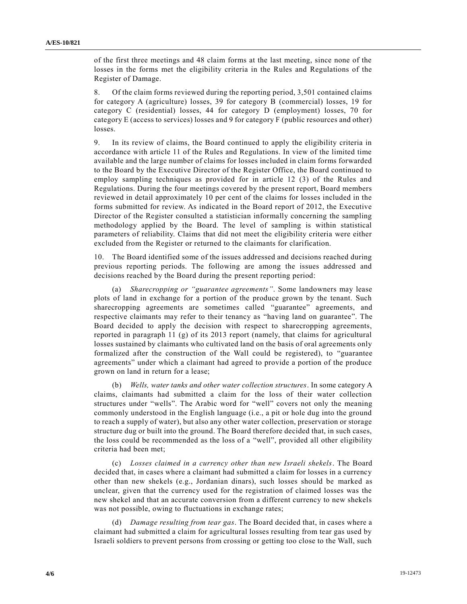of the first three meetings and 48 claim forms at the last meeting, since none of the losses in the forms met the eligibility criteria in the Rules and Regulations of the Register of Damage.

8. Of the claim forms reviewed during the reporting period, 3,501 contained claims for category A (agriculture) losses, 39 for category B (commercial) losses, 19 for category C (residential) losses, 44 for category D (employment) losses, 70 for category E (access to services) losses and 9 for category F (public resources and other) losses.

9. In its review of claims, the Board continued to apply the eligibility criteria in accordance with article 11 of the Rules and Regulations. In view of the limited time available and the large number of claims for losses included in claim forms forwarded to the Board by the Executive Director of the Register Office, the Board continued to employ sampling techniques as provided for in article 12 (3) of the Rules and Regulations. During the four meetings covered by the present report, Board members reviewed in detail approximately 10 per cent of the claims for losses included in the forms submitted for review. As indicated in the Board report of 2012, the Executive Director of the Register consulted a statistician informally concerning the sampling methodology applied by the Board. The level of sampling is within statistical parameters of reliability. Claims that did not meet the eligibility criteria were either excluded from the Register or returned to the claimants for clarification.

10. The Board identified some of the issues addressed and decisions reached during previous reporting periods. The following are among the issues addressed and decisions reached by the Board during the present reporting period:

(a) *Sharecropping or "guarantee agreements"*. Some landowners may lease plots of land in exchange for a portion of the produce grown by the tenant. Such sharecropping agreements are sometimes called "guarantee" agreements, and respective claimants may refer to their tenancy as "having land on guarantee". The Board decided to apply the decision with respect to sharecropping agreements, reported in paragraph 11 (g) of its 2013 report (namely, that claims for agricultural losses sustained by claimants who cultivated land on the basis of oral agreements only formalized after the construction of the Wall could be registered), to "guarantee agreements" under which a claimant had agreed to provide a portion of the produce grown on land in return for a lease;

(b) *Wells, water tanks and other water collection structures*. In some category A claims, claimants had submitted a claim for the loss of their water collection structures under "wells". The Arabic word for "well" covers not only the meaning commonly understood in the English language (i.e., a pit or hole dug into the ground to reach a supply of water), but also any other water collection, preservation or storage structure dug or built into the ground. The Board therefore decided that, in such cases, the loss could be recommended as the loss of a "well", provided all other eligibility criteria had been met;

(c) *Losses claimed in a currency other than new Israeli shekels*. The Board decided that, in cases where a claimant had submitted a claim for losses in a currency other than new shekels (e.g., Jordanian dinars), such losses should be marked as unclear, given that the currency used for the registration of claimed losses was the new shekel and that an accurate conversion from a different currency to new shekels was not possible, owing to fluctuations in exchange rates;

(d) *Damage resulting from tear gas*. The Board decided that, in cases where a claimant had submitted a claim for agricultural losses resulting from tear gas used by Israeli soldiers to prevent persons from crossing or getting too close to the Wall, such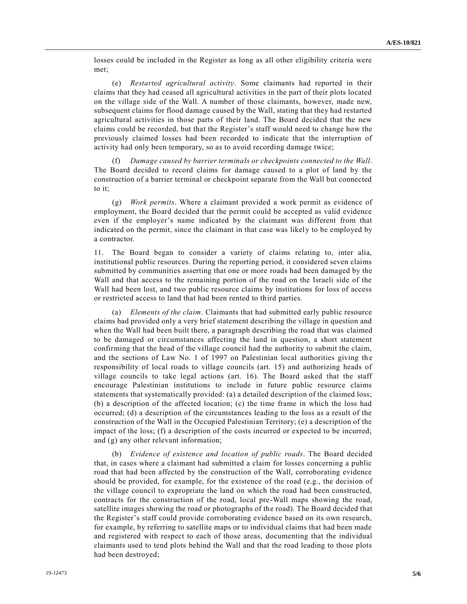losses could be included in the Register as long as all other eligibility criteria were met;

(e) *Restarted agricultural activity*. Some claimants had reported in their claims that they had ceased all agricultural activities in the part of their plots located on the village side of the Wall. A number of those claimants, however, made new, subsequent claims for flood damage caused by the Wall, stating that they had restarted agricultural activities in those parts of their land. The Board decided that the new claims could be recorded, but that the Register's staff would need to change how the previously claimed losses had been recorded to indicate that the interruption of activity had only been temporary, so as to avoid recording damage twice;

(f) *Damage caused by barrier terminals or checkpoints connected to the Wall*. The Board decided to record claims for damage caused to a plot of land by the construction of a barrier terminal or checkpoint separate from the Wall but connected to it;

(g) *Work permits*. Where a claimant provided a work permit as evidence of employment, the Board decided that the permit could be accepted as valid evidence even if the employer's name indicated by the claimant was different from that indicated on the permit, since the claimant in that case was likely to be employed by a contractor.

11. The Board began to consider a variety of claims relating to, inter alia, institutional public resources. During the reporting period, it considered seven claims submitted by communities asserting that one or more roads had been damaged by the Wall and that access to the remaining portion of the road on the Israeli side of the Wall had been lost, and two public resource claims by institutions for loss of access or restricted access to land that had been rented to third parties.

(a) *Elements of the claim*. Claimants that had submitted early public resource claims had provided only a very brief statement describing the village in question and when the Wall had been built there, a paragraph describing the road that was claimed to be damaged or circumstances affecting the land in question, a short statement confirming that the head of the village council had the authority to submit the claim, and the sections of Law No. 1 of 1997 on Palestinian local authorities giving the responsibility of local roads to village councils (art. 15) and authorizing heads of village councils to take legal actions (art. 16). The Board asked that the staff encourage Palestinian institutions to include in future public resource claims statements that systematically provided: (a) a detailed description of the claimed loss; (b) a description of the affected location; (c) the time frame in which the loss had occurred; (d) a description of the circumstances leading to the loss as a result of the construction of the Wall in the Occupied Palestinian Territory; (e) a description of the impact of the loss; (f) a description of the costs incurred or expected to be incurred; and (g) any other relevant information;

(b) *Evidence of existence and location of public roads*. The Board decided that, in cases where a claimant had submitted a claim for losses concerning a public road that had been affected by the construction of the Wall, corroborating evidence should be provided, for example, for the existence of the road (e.g., the decision of the village council to expropriate the land on which the road had been constructed, contracts for the construction of the road, local pre-Wall maps showing the road, satellite images showing the road or photographs of the road). The Board decided that the Register's staff could provide corroborating evidence based on its own research, for example, by referring to satellite maps or to individual claims that had been made and registered with respect to each of those areas, documenting that the individual claimants used to tend plots behind the Wall and that the road leading to those plots had been destroyed;